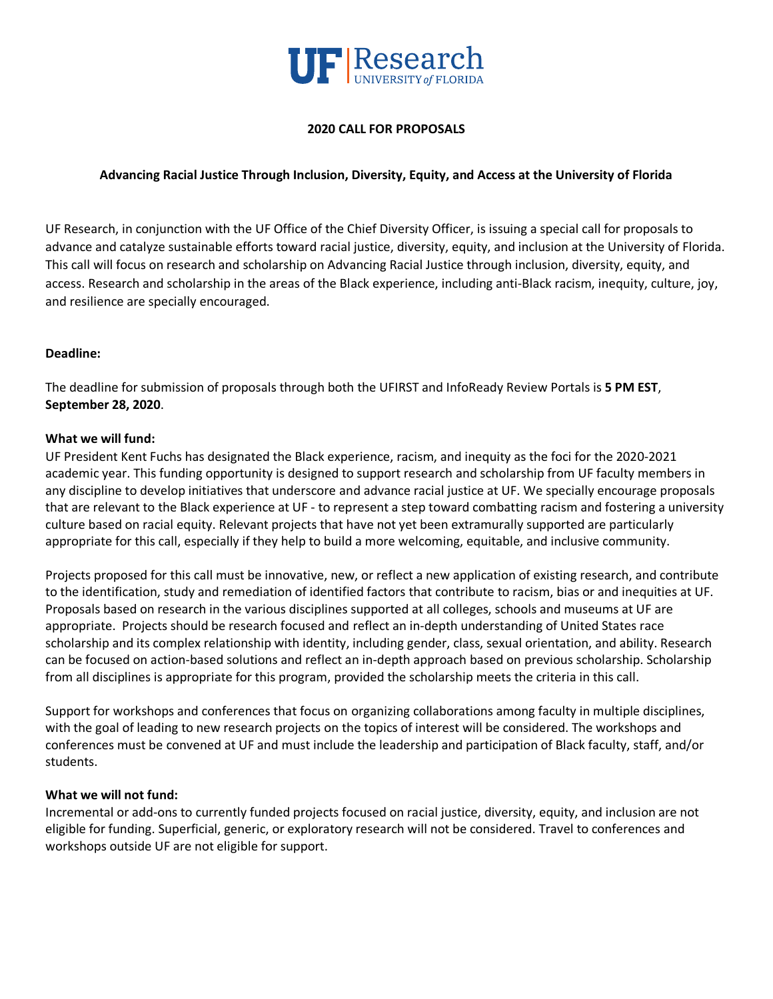

## **2020 CALL FOR PROPOSALS**

## **Advancing Racial Justice Through Inclusion, Diversity, Equity, and Access at the University of Florida**

UF Research, in conjunction with the UF Office of the Chief Diversity Officer, is issuing a special call for proposals to advance and catalyze sustainable efforts toward racial justice, diversity, equity, and inclusion at the University of Florida. This call will focus on research and scholarship on Advancing Racial Justice through inclusion, diversity, equity, and access. Research and scholarship in the areas of the Black experience, including anti-Black racism, inequity, culture, joy, and resilience are specially encouraged.

### **Deadline:**

The deadline for submission of proposals through both the UFIRST and InfoReady Review Portals is **5 PM EST**, **September 28, 2020**.

### **What we will fund:**

UF President Kent Fuchs has designated the Black experience, racism, and inequity as the foci for the 2020-2021 academic year. This funding opportunity is designed to support research and scholarship from UF faculty members in any discipline to develop initiatives that underscore and advance racial justice at UF. We specially encourage proposals that are relevant to the Black experience at UF - to represent a step toward combatting racism and fostering a university culture based on racial equity. Relevant projects that have not yet been extramurally supported are particularly appropriate for this call, especially if they help to build a more welcoming, equitable, and inclusive community.

Projects proposed for this call must be innovative, new, or reflect a new application of existing research, and contribute to the identification, study and remediation of identified factors that contribute to racism, bias or and inequities at UF. Proposals based on research in the various disciplines supported at all colleges, schools and museums at UF are appropriate. Projects should be research focused and reflect an in-depth understanding of United States race scholarship and its complex relationship with identity, including gender, class, sexual orientation, and ability. Research can be focused on action-based solutions and reflect an in-depth approach based on previous scholarship. Scholarship from all disciplines is appropriate for this program, provided the scholarship meets the criteria in this call.

Support for workshops and conferences that focus on organizing collaborations among faculty in multiple disciplines, with the goal of leading to new research projects on the topics of interest will be considered. The workshops and conferences must be convened at UF and must include the leadership and participation of Black faculty, staff, and/or students.

### **What we will not fund:**

Incremental or add-ons to currently funded projects focused on racial justice, diversity, equity, and inclusion are not eligible for funding. Superficial, generic, or exploratory research will not be considered. Travel to conferences and workshops outside UF are not eligible for support.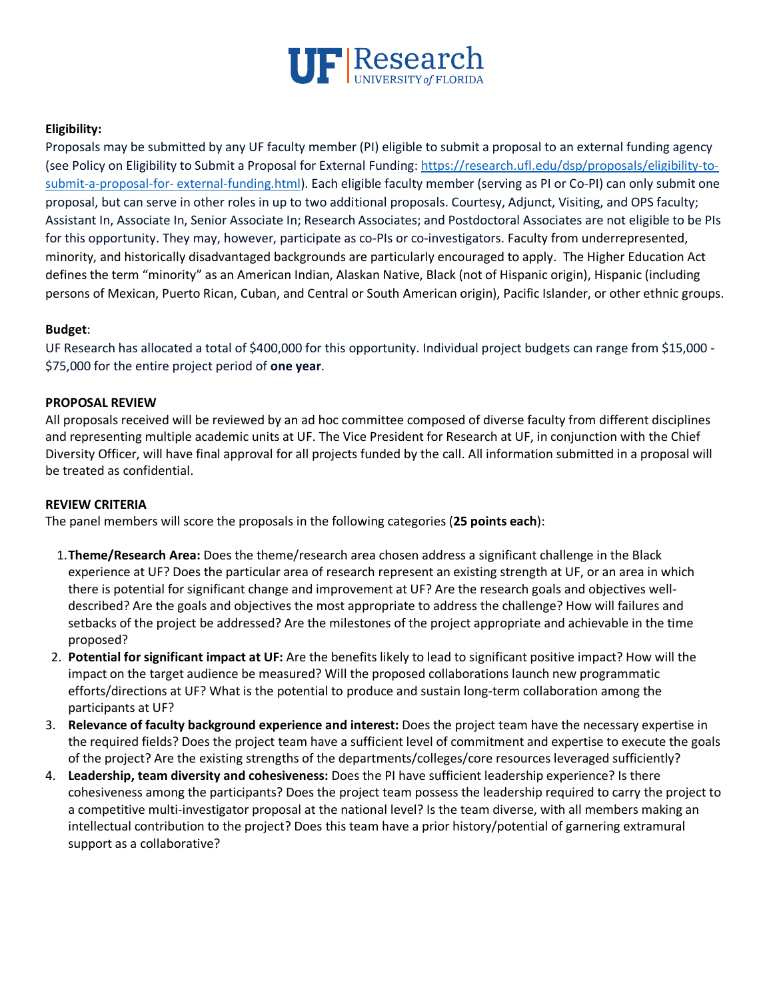

# **Eligibility:**

Proposals may be submitted by any UF faculty member (PI) eligible to submit a proposal to an external funding agency (see Policy on Eligibility to Submit a Proposal for External Funding: https://research.ufl.edu/dsp/proposals/eligibility-tosubmit-a-proposal-for- external-funding.html). Each eligible faculty member (serving as PI or Co-PI) can only submit one proposal, but can serve in other roles in up to two additional proposals. Courtesy, Adjunct, Visiting, and OPS faculty; Assistant In, Associate In, Senior Associate In; Research Associates; and Postdoctoral Associates are not eligible to be PIs for this opportunity. They may, however, participate as co-PIs or co-investigators. Faculty from underrepresented, minority, and historically disadvantaged backgrounds are particularly encouraged to apply. The Higher Education Act defines the term "minority" as an American Indian, Alaskan Native, Black (not of Hispanic origin), Hispanic (including persons of Mexican, Puerto Rican, Cuban, and Central or South American origin), Pacific Islander, or other ethnic groups.

## **Budget**:

UF Research has allocated a total of \$400,000 for this opportunity. Individual project budgets can range from \$15,000 - \$75,000 for the entire project period of **one year**.

## **PROPOSAL REVIEW**

All proposals received will be reviewed by an ad hoc committee composed of diverse faculty from different disciplines and representing multiple academic units at UF. The Vice President for Research at UF, in conjunction with the Chief Diversity Officer, will have final approval for all projects funded by the call. All information submitted in a proposal will be treated as confidential.

## **REVIEW CRITERIA**

The panel members will score the proposals in the following categories (**25 points each**):

- 1.**Theme/Research Area:** Does the theme/research area chosen address a significant challenge in the Black experience at UF? Does the particular area of research represent an existing strength at UF, or an area in which there is potential for significant change and improvement at UF? Are the research goals and objectives welldescribed? Are the goals and objectives the most appropriate to address the challenge? How will failures and setbacks of the project be addressed? Are the milestones of the project appropriate and achievable in the time proposed?
- 2. **Potential for significant impact at UF:** Are the benefits likely to lead to significant positive impact? How will the impact on the target audience be measured? Will the proposed collaborations launch new programmatic efforts/directions at UF? What is the potential to produce and sustain long-term collaboration among the participants at UF?
- 3. **Relevance of faculty background experience and interest:** Does the project team have the necessary expertise in the required fields? Does the project team have a sufficient level of commitment and expertise to execute the goals of the project? Are the existing strengths of the departments/colleges/core resources leveraged sufficiently?
- 4. **Leadership, team diversity and cohesiveness:** Does the PI have sufficient leadership experience? Is there cohesiveness among the participants? Does the project team possess the leadership required to carry the project to a competitive multi-investigator proposal at the national level? Is the team diverse, with all members making an intellectual contribution to the project? Does this team have a prior history/potential of garnering extramural support as a collaborative?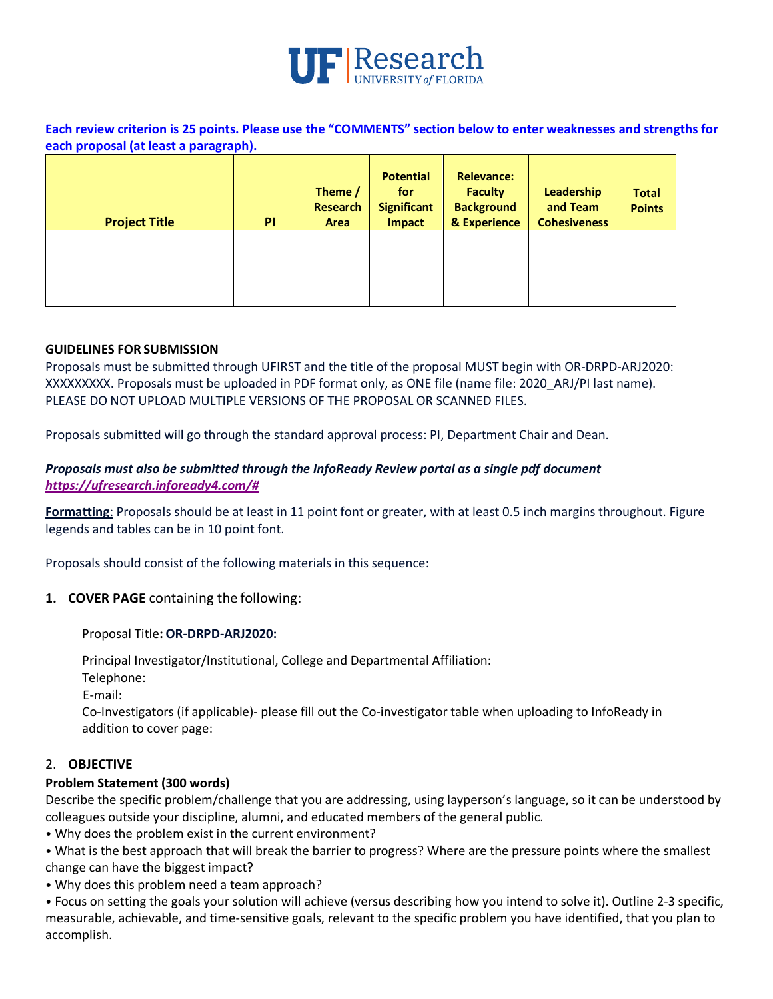

**Each review criterion is 25 points. Please use the "COMMENTS" section below to enter weaknesses and strengths for each proposal (at least a paragraph).** 

| <b>Project Title</b> | PI | Theme /<br>Research<br>Area | <b>Potential</b><br>for<br><b>Significant</b><br><b>Impact</b> | <b>Relevance:</b><br><b>Faculty</b><br><b>Background</b><br>& Experience | Leadership<br>and Team<br><b>Cohesiveness</b> | <b>Total</b><br><b>Points</b> |
|----------------------|----|-----------------------------|----------------------------------------------------------------|--------------------------------------------------------------------------|-----------------------------------------------|-------------------------------|
|                      |    |                             |                                                                |                                                                          |                                               |                               |

### **GUIDELINES FOR SUBMISSION**

Proposals must be submitted through UFIRST and the title of the proposal MUST begin with OR-DRPD-ARJ2020: XXXXXXXXX. Proposals must be uploaded in PDF format only, as ONE file (name file: 2020\_ARJ/PI last name). PLEASE DO NOT UPLOAD MULTIPLE VERSIONS OF THE PROPOSAL OR SCANNED FILES.

Proposals submitted will go through the standard approval process: PI, Department Chair and Dean.

## *Proposals must also be submitted through the InfoReady Review portal as a single pdf document https://ufresearch.infoready4.com/#*

**Formatting**: Proposals should be at least in 11 point font or greater, with at least 0.5 inch margins throughout. Figure legends and tables can be in 10 point font.

Proposals should consist of the following materials in this sequence:

**1. COVER PAGE** containing the following:

### Proposal Title**: OR-DRPD-ARJ2020:**

Principal Investigator/Institutional, College and Departmental Affiliation:

Telephone:

E-mail:

Co-Investigators (if applicable)- please fill out the Co-investigator table when uploading to InfoReady in addition to cover page:

## 2. **OBJECTIVE**

## **Problem Statement (300 words)**

Describe the specific problem/challenge that you are addressing, using layperson's language, so it can be understood by colleagues outside your discipline, alumni, and educated members of the general public.

• Why does the problem exist in the current environment?

• What is the best approach that will break the barrier to progress? Where are the pressure points where the smallest change can have the biggest impact?

• Why does this problem need a team approach?

• Focus on setting the goals your solution will achieve (versus describing how you intend to solve it). Outline 2-3 specific, measurable, achievable, and time-sensitive goals, relevant to the specific problem you have identified, that you plan to accomplish.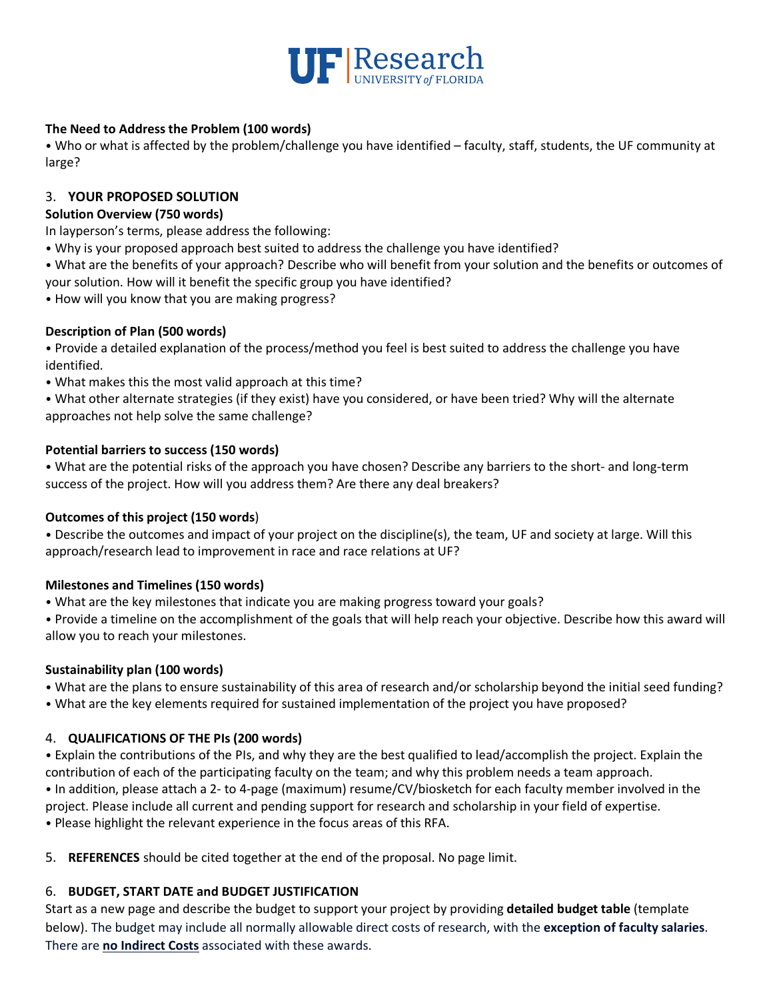

# **The Need to Address the Problem (100 words)**

• Who or what is affected by the problem/challenge you have identified – faculty, staff, students, the UF community at large?

## 3. **YOUR PROPOSED SOLUTION**

## **Solution Overview (750 words)**

In layperson's terms, please address the following:

- Why is your proposed approach best suited to address the challenge you have identified?
- What are the benefits of your approach? Describe who will benefit from your solution and the benefits or outcomes of your solution. How will it benefit the specific group you have identified?
- How will you know that you are making progress?

# **Description of Plan (500 words)**

• Provide a detailed explanation of the process/method you feel is best suited to address the challenge you have identified.

• What makes this the most valid approach at this time?

• What other alternate strategies (if they exist) have you considered, or have been tried? Why will the alternate approaches not help solve the same challenge?

# **Potential barriers to success (150 words)**

• What are the potential risks of the approach you have chosen? Describe any barriers to the short- and long-term success of the project. How will you address them? Are there any deal breakers?

## **Outcomes of this project (150 words**)

• Describe the outcomes and impact of your project on the discipline(s), the team, UF and society at large. Will this approach/research lead to improvement in race and race relations at UF?

## **Milestones and Timelines (150 words)**

• What are the key milestones that indicate you are making progress toward your goals?

• Provide a timeline on the accomplishment of the goals that will help reach your objective. Describe how this award will allow you to reach your milestones.

## **Sustainability plan (100 words)**

- What are the plans to ensure sustainability of this area of research and/or scholarship beyond the initial seed funding?
- What are the key elements required for sustained implementation of the project you have proposed?

# 4. **QUALIFICATIONS OF THE PIs (200 words)**

• Explain the contributions of the PIs, and why they are the best qualified to lead/accomplish the project. Explain the contribution of each of the participating faculty on the team; and why this problem needs a team approach. • In addition, please attach a 2- to 4-page (maximum) resume/CV/biosketch for each faculty member involved in the project. Please include all current and pending support for research and scholarship in your field of expertise. • Please highlight the relevant experience in the focus areas of this RFA.

5. **REFERENCES** should be cited together at the end of the proposal. No page limit.

# 6. **BUDGET, START DATE and BUDGET JUSTIFICATION**

Start as a new page and describe the budget to support your project by providing **detailed budget table** (template below). The budget may include all normally allowable direct costs of research, with the **exception of faculty salaries**. There are **no Indirect Costs** associated with these awards.